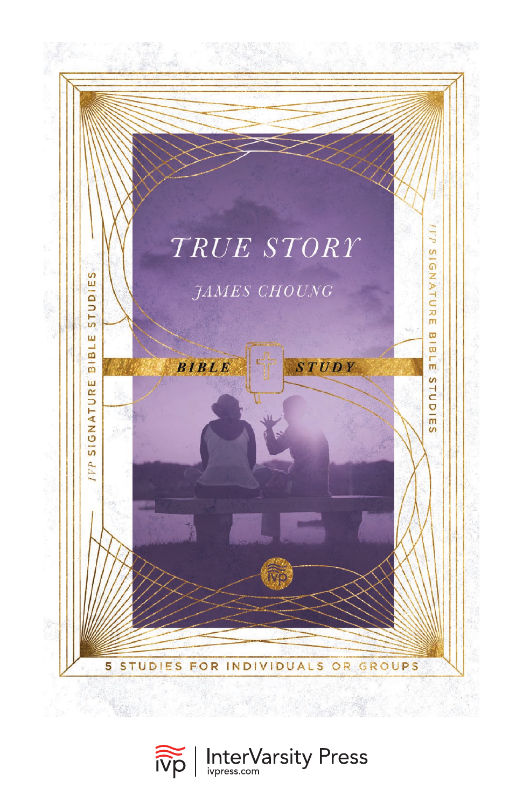

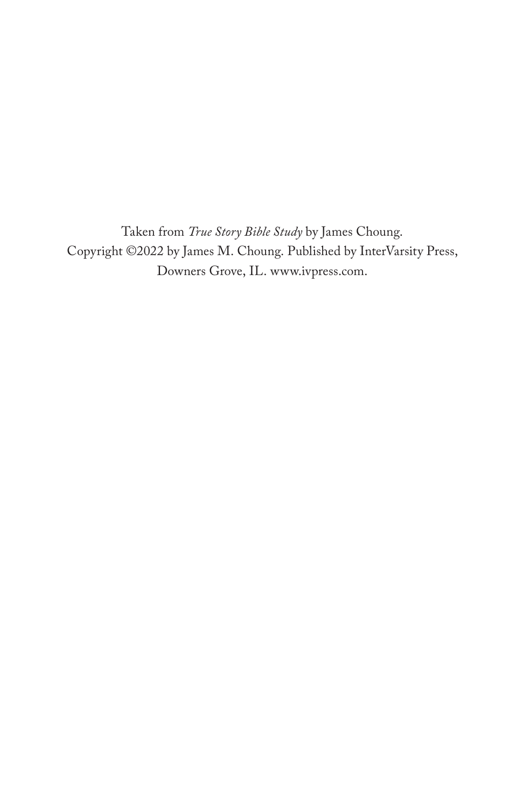Taken from *True Story Bible Study* by James Choung. Copyright ©2022 by James M. Choung. Published by InterVarsity Press, Downers Grove, IL. [www.ivpress.com.](https://www.ivpress.com)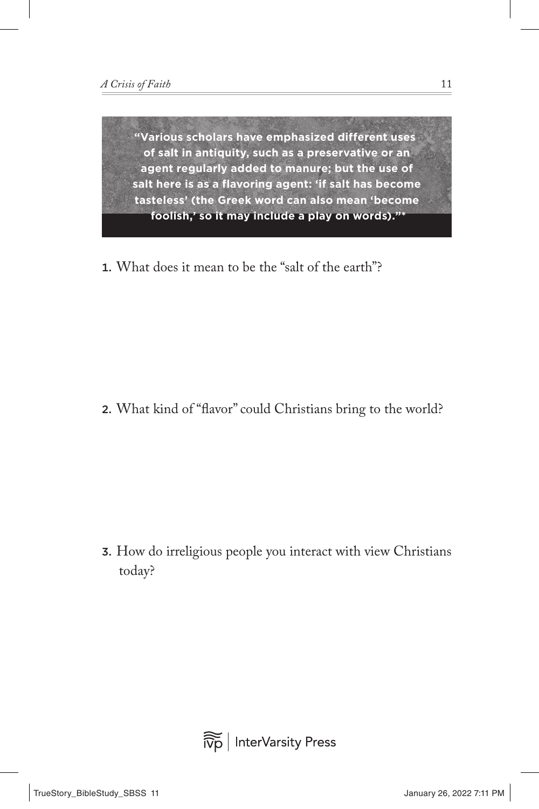1. What does it mean to be the "salt of the earth"?

2. What kind of "flavor" could Christians bring to the world?

3. How do irreligious people you interact with view Christians today?

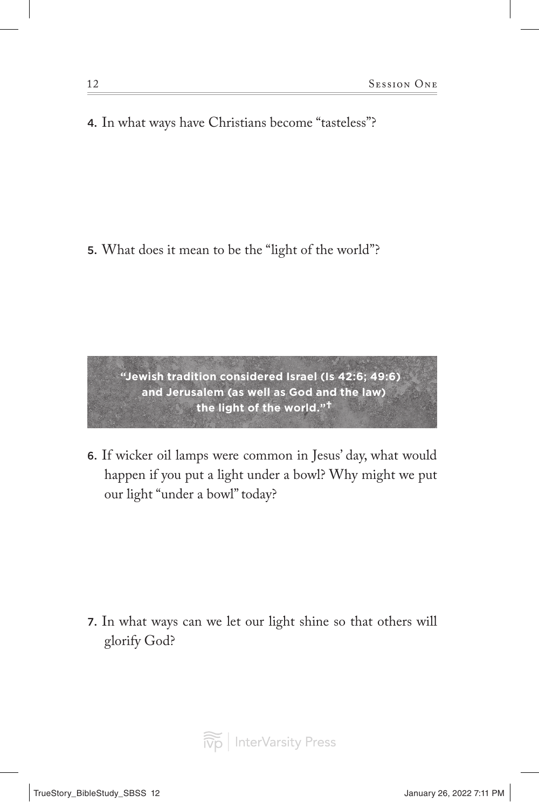4. In what ways have Christians become "tasteless"?

5. What does it mean to be the "light of the world"?

**"Jewish tradition considered Israel (Is 42:6; 49:6) and Jerusalem (as well as God and the law) the light of the world."**†

6. If wicker oil lamps were common in Jesus' day, what would happen if you put a light under a bowl? Why might we put our light "under a bowl" today?

7. In what ways can we let our light shine so that others will glorify God?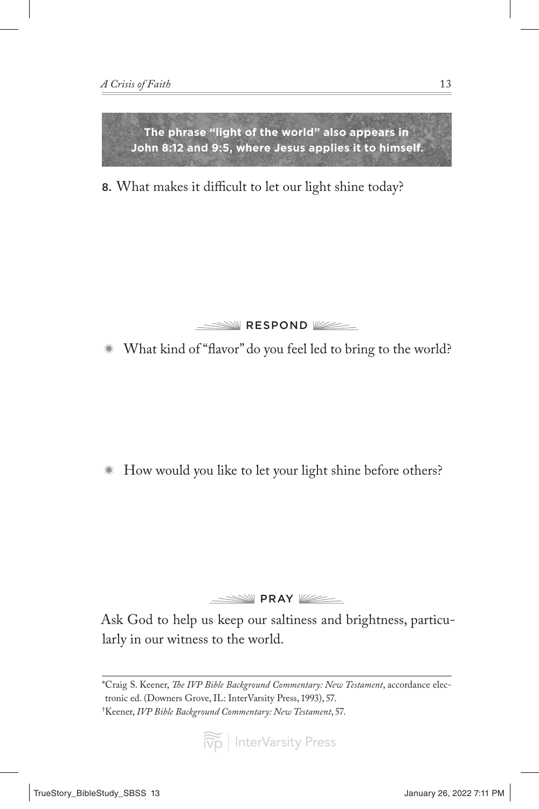

8. What makes it difficult to let our light shine today?



How would you like to let your light shine before others?

**PRAY** WE

Ask God to help us keep our saltiness and brightness, particularly in our witness to the world.

<sup>\*</sup>Craig S. Keener, *The IVP Bible Background Commentary: New Testament*, accordance electronic ed. (Downers Grove, IL: InterVarsity Press, 1993), 57. † Keener, *IVP Bible Background Commentary: New Testament*, 57.